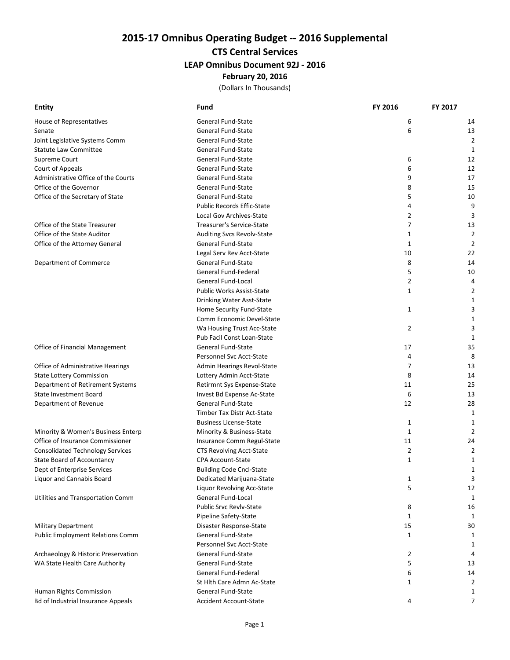# 2015-17 Omnibus Operating Budget -- 2016 Supplemental

## CTS Central Services

#### LEAP Omnibus Document 92J - 2016

# February 20, 2016

(Dollars In Thousands)

| <b>Entity</b>                           | Fund                              | FY 2016        | FY 2017        |
|-----------------------------------------|-----------------------------------|----------------|----------------|
| House of Representatives                | General Fund-State                | 6              | 14             |
| Senate                                  | General Fund-State                | 6              | 13             |
| Joint Legislative Systems Comm          | General Fund-State                |                | 2              |
| <b>Statute Law Committee</b>            | General Fund-State                |                | 1              |
| Supreme Court                           | General Fund-State                | 6              | 12             |
| Court of Appeals                        | General Fund-State                | 6              | 12             |
| Administrative Office of the Courts     | General Fund-State                | 9              | 17             |
| Office of the Governor                  | General Fund-State                | 8              | 15             |
| Office of the Secretary of State        | General Fund-State                | 5              | 10             |
|                                         | <b>Public Records Effic-State</b> | 4              | 9              |
|                                         | Local Gov Archives-State          | $\overline{2}$ | 3              |
| Office of the State Treasurer           | Treasurer's Service-State         | $\overline{7}$ | 13             |
| Office of the State Auditor             | Auditing Svcs Revolv-State        | 1              | 2              |
| Office of the Attorney General          | General Fund-State                | $\mathbf{1}$   | 2              |
|                                         | Legal Serv Rev Acct-State         | 10             | 22             |
| Department of Commerce                  | General Fund-State                | 8              | 14             |
|                                         | General Fund-Federal              | 5              | 10             |
|                                         | General Fund-Local                | 2              | 4              |
|                                         | <b>Public Works Assist-State</b>  | 1              | 2              |
|                                         | Drinking Water Asst-State         |                | 1              |
|                                         | Home Security Fund-State          | $\mathbf{1}$   | 3              |
|                                         | Comm Economic Devel-State         |                | 1              |
|                                         | Wa Housing Trust Acc-State        | $\overline{2}$ | 3              |
|                                         | Pub Facil Const Loan-State        |                | 1              |
| Office of Financial Management          | General Fund-State                | 17             | 35             |
|                                         | Personnel Svc Acct-State          | 4              | 8              |
| Office of Administrative Hearings       | Admin Hearings Revol-State        | 7              | 13             |
| <b>State Lottery Commission</b>         | Lottery Admin Acct-State          | 8              | 14             |
| Department of Retirement Systems        | Retirmnt Sys Expense-State        | 11             | 25             |
| <b>State Investment Board</b>           | Invest Bd Expense Ac-State        | 6              | 13             |
| Department of Revenue                   | General Fund-State                | 12             | 28             |
|                                         | Timber Tax Distr Act-State        |                | 1              |
|                                         | <b>Business License-State</b>     | $\mathbf{1}$   | 1              |
| Minority & Women's Business Enterp      | Minority & Business-State         | $\mathbf{1}$   | 2              |
| Office of Insurance Commissioner        | Insurance Comm Regul-State        | 11             | 24             |
| Consolidated Technology Services        | CTS Revolving Acct-State          | $\overline{2}$ | 2              |
| State Board of Accountancy              | <b>CPA Account-State</b>          | 1              | 1              |
| Dept of Enterprise Services             | <b>Building Code Cncl-State</b>   |                | 1              |
| Liquor and Cannabis Board               | Dedicated Marijuana-State         | 1              | 3              |
|                                         | Liquor Revolving Acc-State        | 5              | 12             |
| Utilities and Transportation Comm       | General Fund-Local                |                | 1              |
|                                         | <b>Public Srvc Revly-State</b>    | 8              | 16             |
|                                         | Pipeline Safety-State             | $\mathbf{1}$   | 1              |
| <b>Military Department</b>              | Disaster Response-State           | 15             | 30             |
| <b>Public Employment Relations Comm</b> | <b>General Fund-State</b>         | $\mathbf{1}$   | 1              |
|                                         | Personnel Svc Acct-State          |                | 1              |
| Archaeology & Historic Preservation     | General Fund-State                | 2              | 4              |
| WA State Health Care Authority          | General Fund-State                | 5              | 13             |
|                                         | General Fund-Federal              | 6              | 14             |
|                                         | St Hith Care Admn Ac-State        | 1              | $\overline{2}$ |
| Human Rights Commission                 | General Fund-State                |                | 1              |
| Bd of Industrial Insurance Appeals      | <b>Accident Account-State</b>     | 4              | 7              |
|                                         |                                   |                |                |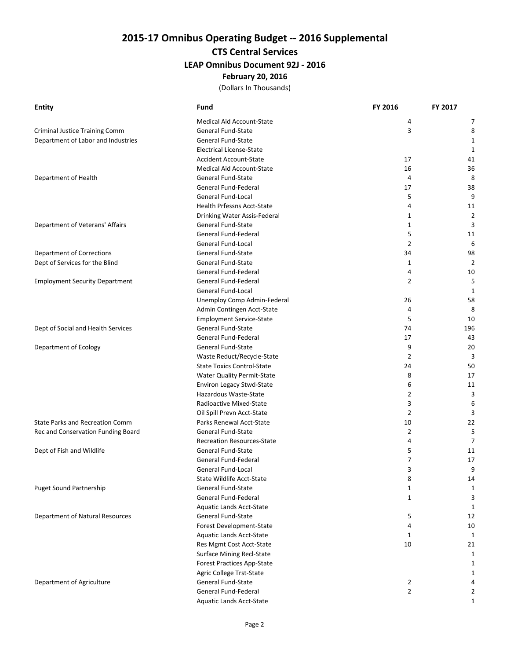# 2015-17 Omnibus Operating Budget -- 2016 Supplemental

## CTS Central Services

#### LEAP Omnibus Document 92J - 2016

# February 20, 2016

(Dollars In Thousands)

| <b>Entity</b>                          | Fund                              | FY 2016        | FY 2017        |
|----------------------------------------|-----------------------------------|----------------|----------------|
|                                        | <b>Medical Aid Account-State</b>  | 4              | 7              |
| Criminal Justice Training Comm         | General Fund-State                | 3              | 8              |
| Department of Labor and Industries     | General Fund-State                |                | 1              |
|                                        | <b>Electrical License-State</b>   |                | 1              |
|                                        | <b>Accident Account-State</b>     | 17             | 41             |
|                                        | <b>Medical Aid Account-State</b>  | 16             | 36             |
| Department of Health                   | General Fund-State                | 4              | 8              |
|                                        | General Fund-Federal              | 17             | 38             |
|                                        | General Fund-Local                | 5              | 9              |
|                                        | <b>Health Prfessns Acct-State</b> | 4              | 11             |
|                                        | Drinking Water Assis-Federal      | 1              | $\overline{2}$ |
| Department of Veterans' Affairs        | <b>General Fund-State</b>         | 1              | 3              |
|                                        | General Fund-Federal              | 5              | 11             |
|                                        | General Fund-Local                | $\overline{2}$ | 6              |
| Department of Corrections              | General Fund-State                | 34             | 98             |
| Dept of Services for the Blind         | General Fund-State                | $\mathbf{1}$   | $\overline{2}$ |
|                                        | General Fund-Federal              | 4              | 10             |
| <b>Employment Security Department</b>  | General Fund-Federal              | $\overline{2}$ | 5              |
|                                        | <b>General Fund-Local</b>         |                | 1              |
|                                        | Unemploy Comp Admin-Federal       | 26             | 58             |
|                                        | Admin Contingen Acct-State        | 4              | 8              |
|                                        | <b>Employment Service-State</b>   | 5              | 10             |
| Dept of Social and Health Services     | <b>General Fund-State</b>         | 74             | 196            |
|                                        | General Fund-Federal              | 17             | 43             |
| Department of Ecology                  | General Fund-State                | 9              | 20             |
|                                        | Waste Reduct/Recycle-State        | $\overline{2}$ | 3              |
|                                        | <b>State Toxics Control-State</b> | 24             | 50             |
|                                        | <b>Water Quality Permit-State</b> | 8              | 17             |
|                                        | <b>Environ Legacy Stwd-State</b>  | 6              | 11             |
|                                        | Hazardous Waste-State             | $\overline{2}$ | 3              |
|                                        | Radioactive Mixed-State           | 3              | 6              |
|                                        | Oil Spill Prevn Acct-State        | $\overline{2}$ | 3              |
| <b>State Parks and Recreation Comm</b> | Parks Renewal Acct-State          | 10             | 22             |
| Rec and Conservation Funding Board     | General Fund-State                | 2              | 5              |
|                                        | <b>Recreation Resources-State</b> | 4              | 7              |
| Dept of Fish and Wildlife              | <b>General Fund-State</b>         | 5              | 11             |
|                                        | General Fund-Federal              | 7              | 17             |
|                                        | General Fund-Local                | 3              | 9              |
|                                        | State Wildlife Acct-State         | ୪              | 14             |
| Puget Sound Partnership                | General Fund-State                | 1              | 1              |
|                                        | General Fund-Federal              | $\mathbf{1}$   | 3              |
|                                        | <b>Aquatic Lands Acct-State</b>   |                | 1              |
| Department of Natural Resources        | General Fund-State                | 5              | 12             |
|                                        | Forest Development-State          | 4              | 10             |
|                                        | Aquatic Lands Acct-State          | 1              | 1              |
|                                        | Res Mgmt Cost Acct-State          | 10             | 21             |
|                                        | <b>Surface Mining Recl-State</b>  |                | 1              |
|                                        | <b>Forest Practices App-State</b> |                | 1              |
|                                        | Agric College Trst-State          |                | 1              |
| Department of Agriculture              | General Fund-State                | $\overline{2}$ | 4              |
|                                        | General Fund-Federal              | $\overline{2}$ | 2              |
|                                        | Aquatic Lands Acct-State          |                | 1              |